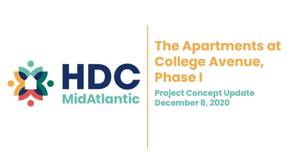

# **The Apartments at College Avenue, Phase I**

**Project Concept Update December 8, 2020**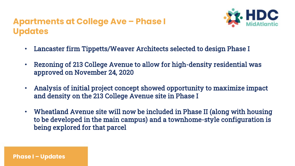## **Apartments at College Ave – Phase I Updates**



- Lancaster firm Tippetts/Weaver Architects selected to design Phase I
- Rezoning of 213 College Avenue to allow for high-density residential was approved on November 24, 2020
- Analysis of initial project concept showed opportunity to maximize impact and density on the 213 College Avenue site in Phase I
- Wheatland Avenue site will now be included in Phase II (along with housing to be developed in the main campus) and a townhome-style configuration is being explored for that parcel

**Phase I – Updates**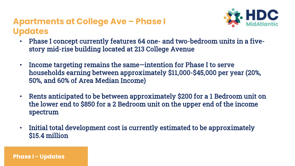## **Apartments at College Ave – Phase I Updates**



- Phase I concept currently features 64 one- and two-bedroom units in a fivestory mid-rise building located at 213 College Avenue
- Income targeting remains the same—intention for Phase I to serve households earning between approximately \$11,000-\$45,000 per year (20%, 50%, and 60% of Area Median Income)
- Rents anticipated to be between approximately \$200 for a 1 Bedroom unit on the lower end to \$850 for a 2 Bedroom unit on the upper end of the income spectrum
- Initial total development cost is currently estimated to be approximately \$15.4 million

**Phase I - Updates**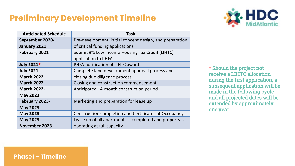# **Preliminary Development Timeline**



| <b>Anticipated Schedule</b> | Task                                                     |
|-----------------------------|----------------------------------------------------------|
| September 2020-             | Pre-development, initial concept design, and preparation |
| January 2021                | of critical funding applications                         |
| February 2021               | Submit 9% Low Income Housing Tax Credit (LIHTC)          |
|                             | application to PHFA                                      |
| July 2021*                  | PHFA notification of LIHTC award                         |
| <b>July 2021-</b>           | Complete land development approval process and           |
| <b>March 2022</b>           | closing due diligence process.                           |
| <b>March 2022</b>           | Closing and construction commencement                    |
| <b>March 2022-</b>          | Anticipated 14-month construction period                 |
| <b>May 2023</b>             |                                                          |
| February 2023-              | Marketing and preparation for lease up                   |
| <b>May 2023</b>             |                                                          |
| <b>May 2023</b>             | Construction completion and Certificates of Occupancy    |
| May 2023-                   | Lease up of all apartments is completed and property is  |
| November 2023               | operating at full capacity.                              |

\* Should the project not receive a LIHTC allocation during the first application, a subsequent application will be made in the following cycle and all projected dates will be extended by approximately one year.

**Phase I - Timeline**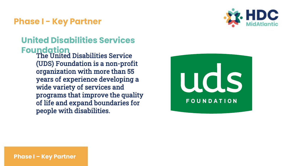#### **Phase I - Key Partner**



# **United Disabilities Services Foundation**

The United Disabilities Service (UDS) Foundation is a non-profit organization with more than 55 years of experience developing a wide variety of services and programs that improve the quality of life and expand boundaries for people with disabilities.



**Phase I – Key Partner**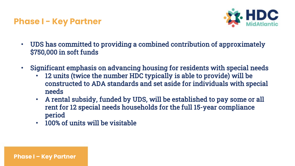#### **Phase I - Key Partner**

**Phase I – Key Partner**



- UDS has committed to providing a combined contribution of approximately \$750,000 in soft funds
- Significant emphasis on advancing housing for residents with special needs
	- 12 units (twice the number HDC typically is able to provide) will be constructed to ADA standards and set aside for individuals with special needs
	- A rental subsidy, funded by UDS, will be established to pay some or all rent for 12 special needs households for the full 15-year compliance period
	- 100% of units will be visitable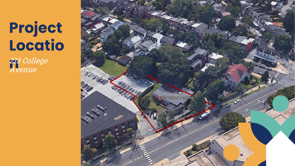# **Project Locatio**

**n**213 College Avenue

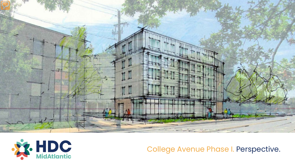



College Avenue Phase I. Perspective.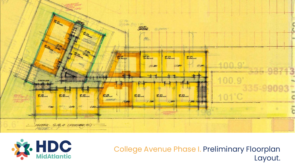



College Avenue Phase I. Preliminary Floorplan Layout.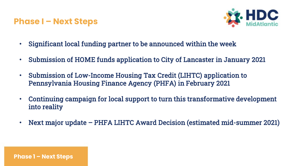#### **Phase I – Next Steps**

**Phase 1 – Next Steps**



- Significant local funding partner to be announced within the week
- Submission of HOME funds application to City of Lancaster in January 2021
- Submission of Low-Income Housing Tax Credit (LIHTC) application to Pennsylvania Housing Finance Agency (PHFA) in February 2021
- Continuing campaign for local support to turn this transformative development into reality
- Next major update PHFA LIHTC Award Decision (estimated mid-summer 2021)